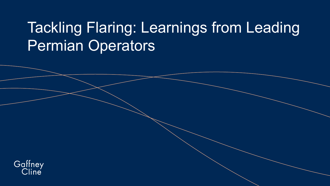## Tackling Flaring: Learnings from Leading Permian Operators

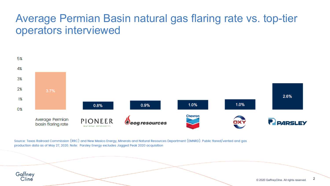#### Average Permian Basin natural gas flaring rate vs. top-tier operators interviewed



Source: Texas Railroad Commission (RRC) and New Mexico Energy, Minerals and Natural Resources Department (EMNRD). Public flared/vented and gas production data as of May 27, 2020. Note: Parsley Energy excludes Jagged Peak 2020 acquisition

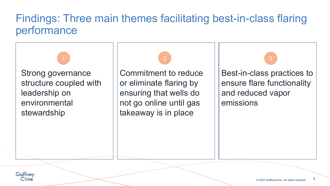#### Findings: Three main themes facilitating best-in-class flaring performance

Strong governance structure coupled with leadership on environmental stewardship

Commitment to reduce or eliminate flaring by ensuring that wells do not go online until gas takeaway is in place

Best-in-class practices to ensure flare functionality and reduced vapor emissions

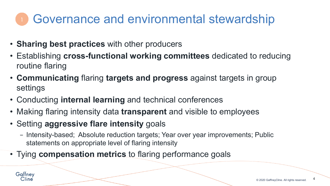### Governance and environmental stewardship

- **Sharing best practices** with other producers
- Establishing **cross-functional working committees** dedicated to reducing routine flaring
- **Communicating** flaring **targets and progress** against targets in group settings
- Conducting **internal learning** and technical conferences
- Making flaring intensity data **transparent** and visible to employees
- Setting **aggressive flare intensity** goals
	- − Intensity-based; Absolute reduction targets; Year over year improvements; Public statements on appropriate level of flaring intensity
- Tying **compensation metrics** to flaring performance goals



4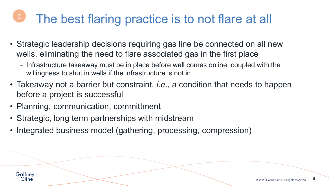## The best flaring practice is to not flare at all

- Strategic leadership decisions requiring gas line be connected on all new wells, eliminating the need to flare associated gas in the first place
	- − Infrastructure takeaway must be in place before well comes online, coupled with the willingness to shut in wells if the infrastructure is not in
- Takeaway not a barrier but constraint, *i.e*., a condition that needs to happen before a project is successful
- Planning, communication, committment
- Strategic, long term partnerships with midstream
- Integrated business model (gathering, processing, compression)

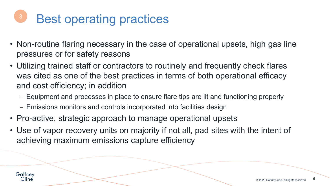# Best operating practices

- Non-routine flaring necessary in the case of operational upsets, high gas line pressures or for safety reasons
- Utilizing trained staff or contractors to routinely and frequently check flares was cited as one of the best practices in terms of both operational efficacy and cost efficiency; in addition
	- − Equipment and processes in place to ensure flare tips are lit and functioning properly
	- − Emissions monitors and controls incorporated into facilities design
- Pro-active, strategic approach to manage operational upsets
- Use of vapor recovery units on majority if not all, pad sites with the intent of achieving maximum emissions capture efficiency

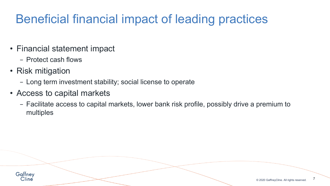### Beneficial financial impact of leading practices

- Financial statement impact
	- − Protect cash flows
- Risk mitigation
	- − Long term investment stability; social license to operate
- Access to capital markets
	- − Facilitate access to capital markets, lower bank risk profile, possibly drive a premium to multiples



7